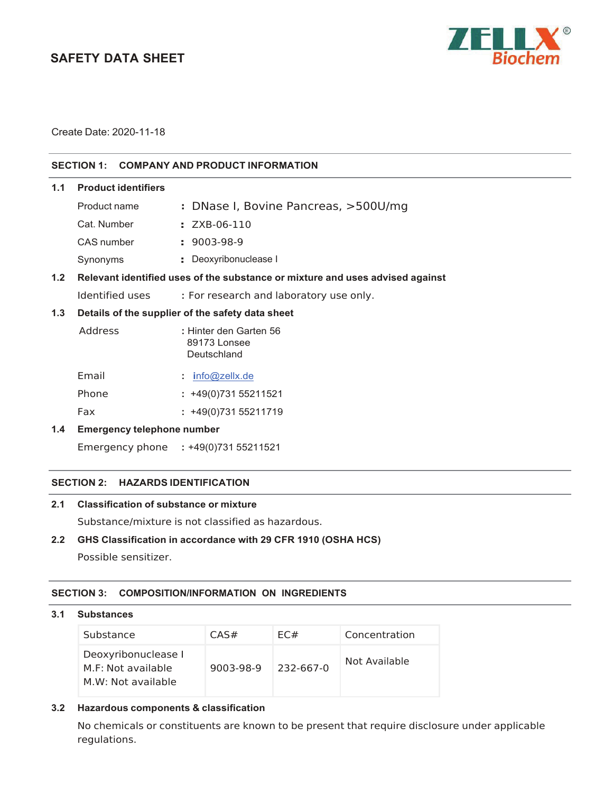# **SAFETY DATA SHEET**



Create Date: 2020-11-18

# **SECTION 1: COMPANY AND PRODUCT INFORMATION**

| 1.1 | <b>Product identifiers</b> |                                                                               |
|-----|----------------------------|-------------------------------------------------------------------------------|
|     | Product name               | : DNase I, Bovine Pancreas, >500U/mg                                          |
|     | Cat. Number                | : ZXB-06-110                                                                  |
|     | CAS number                 | $: 9003-98-9$                                                                 |
|     | Synonyms                   | : Deoxyribonuclease I                                                         |
| 12  |                            | Relevant identified uses of the substance or mixture and uses advised anainst |

# **1.2 Relevant identified uses of the substance or mixture and uses advised against**

Identified uses **:** For research and laboratory use only.

# **1.3 Details of the supplier of the safety data sheet**

| Address | : Hinter den Garten 56<br>89173 Lonsee<br>Deutschland |  |  |
|---------|-------------------------------------------------------|--|--|
| Email   | $:$ info@zellx.de                                     |  |  |
| Phone   | $: +49(0)73155211521$                                 |  |  |
|         |                                                       |  |  |

Fax **:** +49(0)731 55211719

# **1.4 Emergency telephone number**

Emergency phone **:** +49(0)731 55211521

#### **SECTION 2: HAZARDS IDENTIFICATION**

### **2.1 Classification of substance or mixture**

Substance/mixture is not classified as hazardous.

# **2.2 GHS Classification in accordance with 29 CFR 1910 (OSHA HCS)**

Possible sensitizer.

#### **SECTION 3: COMPOSITION/INFORMATION ON INGREDIENTS**

#### **3.1 Substances**

| Substance                                                       | CAS#      | FC#       | Concentration |
|-----------------------------------------------------------------|-----------|-----------|---------------|
| Deoxyribonuclease I<br>M.F: Not available<br>M.W: Not available | 9003-98-9 | 232-667-0 | Not Available |

# **3.2 Hazardous components & classification**

No chemicals or constituents are known to be present that require disclosure under applicable regulations.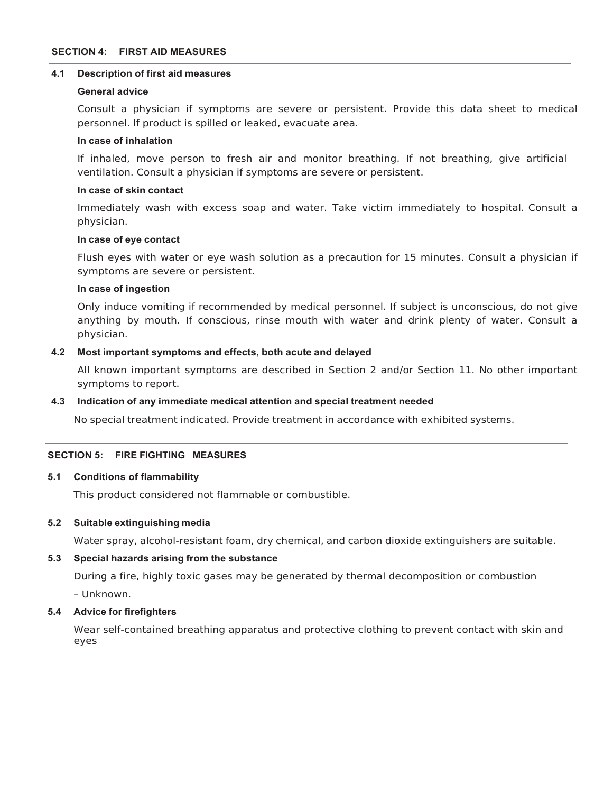# **SECTION 4: FIRST AID MEASURES**

#### **4.1 Description of first aid measures**

#### **General advice**

Consult a physician if symptoms are severe or persistent. Provide this data sheet to medical personnel. If product is spilled or leaked, evacuate area.

#### **In case of inhalation**

If inhaled, move person to fresh air and monitor breathing. If not breathing, give artificial ventilation. Consult a physician if symptoms are severe or persistent.

#### **In case of skin contact**

Immediately wash with excess soap and water. Take victim immediately to hospital. Consult a physician.

#### **In case of eye contact**

Flush eyes with water or eye wash solution as a precaution for 15 minutes. Consult a physician if symptoms are severe or persistent.

# **In case of ingestion**

Only induce vomiting if recommended by medical personnel. If subject is unconscious, do not give anything by mouth. If conscious, rinse mouth with water and drink plenty of water. Consult a physician.

#### **4.2 Most important symptoms and effects, both acute and delayed**

All known important symptoms are described in Section 2 and/or Section 11. No other important symptoms to report.

#### **4.3 Indication of any immediate medical attention and special treatment needed**

No special treatment indicated. Provide treatment in accordance with exhibited systems.

#### **SECTION 5: FIRE FIGHTING MEASURES**

#### **5.1 Conditions of flammability**

This product considered not flammable or combustible.

#### **5.2 Suitable extinguishing media**

Water spray, alcohol-resistant foam, dry chemical, and carbon dioxide extinguishers are suitable.

#### **5.3 Special hazards arising from the substance**

During a fire, highly toxic gases may be generated by thermal decomposition or combustion

– Unknown.

# **5.4 Advice for firefighters**

Wear self-contained breathing apparatus and protective clothing to prevent contact with skin and eyes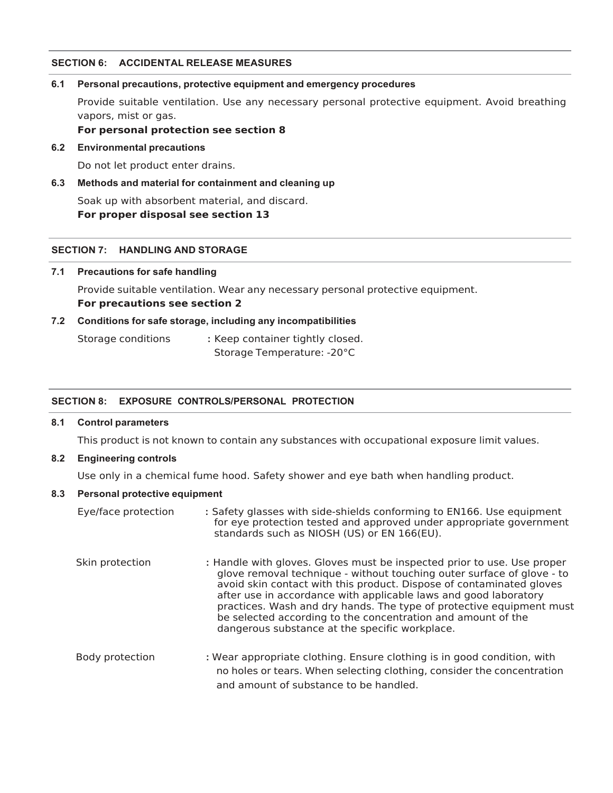#### **SECTION 6: ACCIDENTAL RELEASE MEASURES**

#### **6.1 Personal precautions, protective equipment and emergency procedures**

Provide suitable ventilation. Use any necessary personal protective equipment. Avoid breathing vapors, mist or gas.

**For personal protection see section 8** 

#### **6.2 Environmental precautions**

Do not let product enter drains.

## **6.3 Methods and material for containment and cleaning up**

Soak up with absorbent material, and discard. **For proper disposal see section 13** 

#### **SECTION 7: HANDLING AND STORAGE**

#### **7.1 Precautions for safe handling**

Provide suitable ventilation. Wear any necessary personal protective equipment. **For precautions see section 2** 

#### **7.2 Conditions for safe storage, including any incompatibilities**

Storage conditions **:** Keep container tightly closed. Storage Temperature: -20°C

#### **SECTION 8: EXPOSURE CONTROLS/PERSONAL PROTECTION**

#### **8.1 Control parameters**

This product is not known to contain any substances with occupational exposure limit values.

## **8.2 Engineering controls**

Use only in a chemical fume hood. Safety shower and eye bath when handling product.

#### **8.3 Personal protective equipment**

| Eye/face protection | : Safety glasses with side-shields conforming to EN166. Use equipment<br>for eye protection tested and approved under appropriate government<br>standards such as NIOSH (US) or EN 166(EU).                                                                                                                                                                                                                                                                                             |
|---------------------|-----------------------------------------------------------------------------------------------------------------------------------------------------------------------------------------------------------------------------------------------------------------------------------------------------------------------------------------------------------------------------------------------------------------------------------------------------------------------------------------|
| Skin protection     | : Handle with gloves. Gloves must be inspected prior to use. Use proper<br>glove removal technique - without touching outer surface of glove - to<br>avoid skin contact with this product. Dispose of contaminated gloves<br>after use in accordance with applicable laws and good laboratory<br>practices. Wash and dry hands. The type of protective equipment must<br>be selected according to the concentration and amount of the<br>dangerous substance at the specific workplace. |
| Body protection     | : Wear appropriate clothing. Ensure clothing is in good condition, with<br>no holes or tears. When selecting clothing, consider the concentration<br>and amount of substance to be handled.                                                                                                                                                                                                                                                                                             |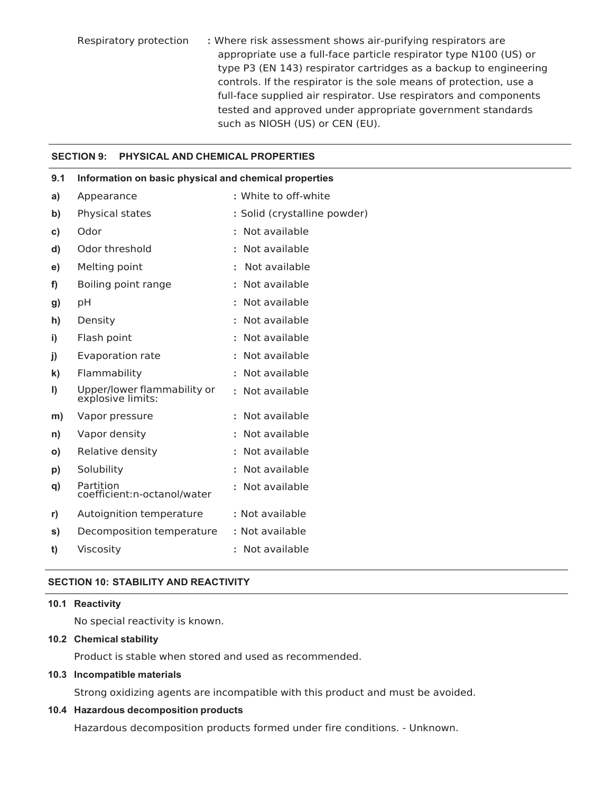Respiratory protection **:** Where risk assessment shows air-purifying respirators are appropriate use a full-face particle respirator type N100 (US) or type P3 (EN 143) respirator cartridges as a backup to engineering controls. If the respirator is the sole means of protection, use a full-face supplied air respirator. Use respirators and components tested and approved under appropriate government standards such as NIOSH (US) or CEN (EU).

#### **SECTION 9: PHYSICAL AND CHEMICAL PROPERTIES**

| 9.1 | Information on basic physical and chemical properties |                              |  |  |  |
|-----|-------------------------------------------------------|------------------------------|--|--|--|
| a)  | Appearance                                            | : White to off-white         |  |  |  |
| b)  | Physical states                                       | : Solid (crystalline powder) |  |  |  |
| C)  | Odor                                                  | : Not available              |  |  |  |
| d)  | Odor threshold                                        | : Not available              |  |  |  |
| e)  | Melting point                                         | Not available                |  |  |  |
| f)  | Boiling point range                                   | : Not available              |  |  |  |
| g)  | pH                                                    | Not available                |  |  |  |
| h)  | Density                                               | : Not available              |  |  |  |
| i)  | Flash point                                           | : Not available              |  |  |  |
| j)  | <b>Evaporation rate</b>                               | Not available                |  |  |  |
| k)  | Flammability                                          | : Not available              |  |  |  |
| I)  | Upper/lower flammability or<br>explosive limits:      | Not available<br>÷.          |  |  |  |
| m)  | Vapor pressure                                        | Not available                |  |  |  |
| n)  | Vapor density                                         | : Not available              |  |  |  |
| O)  | Relative density                                      | : Not available              |  |  |  |
| p)  | Solubility                                            | Not available                |  |  |  |
| q)  | Partition<br>coefficient:n-octanol/water              | Not available                |  |  |  |
| r)  | Autoignition temperature                              | : Not available              |  |  |  |
| s)  | Decomposition temperature                             | : Not available              |  |  |  |
| t)  | Viscosity                                             | : Not available              |  |  |  |
|     |                                                       |                              |  |  |  |

#### **SECTION 10: STABILITY AND REACTIVITY**

### **10.1 Reactivity**

No special reactivity is known.

#### **10.2 Chemical stability**

Product is stable when stored and used as recommended.

# **10.3 Incompatible materials**

Strong oxidizing agents are incompatible with this product and must be avoided.

# **10.4 Hazardous decomposition products**

Hazardous decomposition products formed under fire conditions. - Unknown.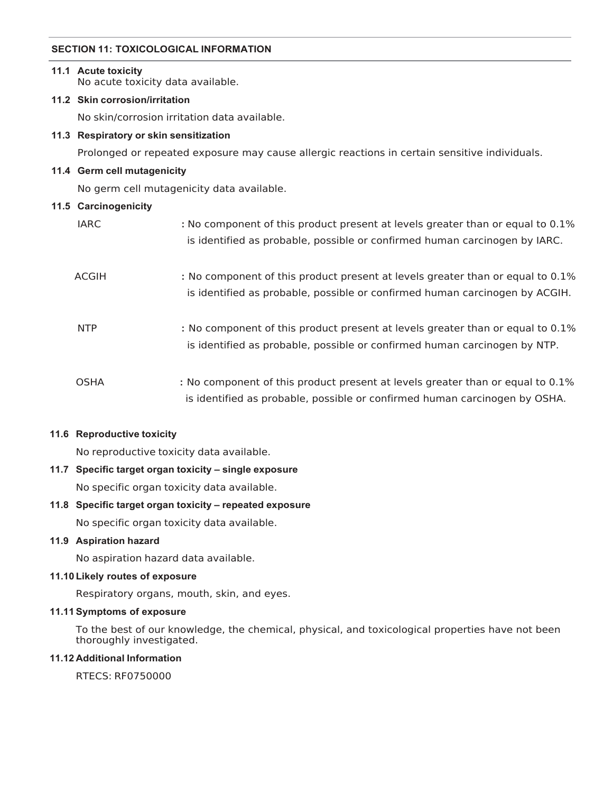# **SECTION 11: TOXICOLOGICAL INFORMATION**

# **11.1 Acute toxicity**  No acute toxicity data available. **11.2 Skin corrosion/irritation**  No skin/corrosion irritation data available. **11.3 Respiratory or skin sensitization**  Prolonged or repeated exposure may cause allergic reactions in certain sensitive individuals. **11.4 Germ cell mutagenicity**  No germ cell mutagenicity data available. **11.5 Carcinogenicity**  IARC **:** No component of this product present at levels greater than or equal to 0.1% is identified as probable, possible or confirmed human carcinogen by IARC. ACGIH **:** No component of this product present at levels greater than or equal to 0.1% is identified as probable, possible or confirmed human carcinogen by ACGIH. NTP **:** No component of this product present at levels greater than or equal to 0.1% is identified as probable, possible or confirmed human carcinogen by NTP. OSHA **:** No component of this product present at levels greater than or equal to 0.1%

is identified as probable, possible or confirmed human carcinogen by OSHA.

#### **11.6 Reproductive toxicity**

No reproductive toxicity data available.

#### **11.7 Specific target organ toxicity – single exposure**

No specific organ toxicity data available.

#### **11.8 Specific target organ toxicity – repeated exposure**

No specific organ toxicity data available.

#### **11.9 Aspiration hazard**

No aspiration hazard data available.

#### **11.10 Likely routes of exposure**

Respiratory organs, mouth, skin, and eyes.

#### **11.11 Symptoms of exposure**

To the best of our knowledge, the chemical, physical, and toxicological properties have not been thoroughly investigated.

#### **11.12 Additional Information**

RTECS: RF0750000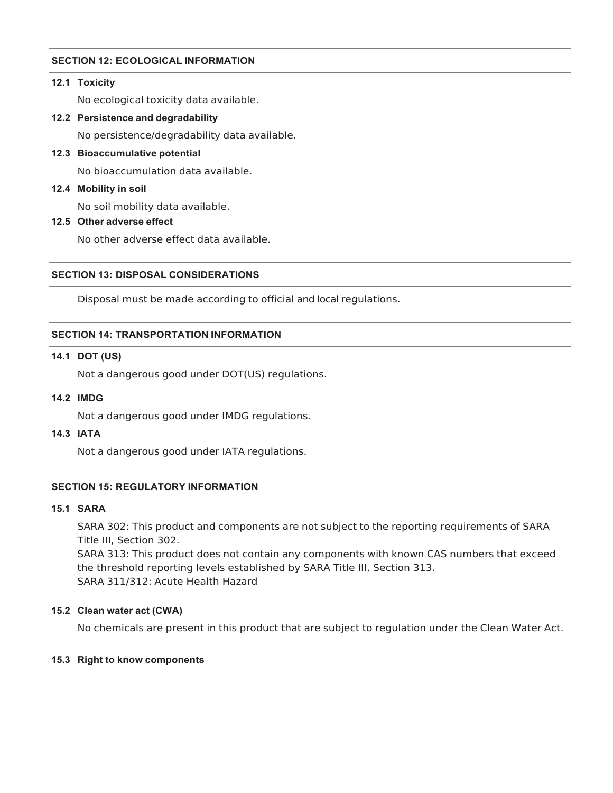# **SECTION 12: ECOLOGICAL INFORMATION**

#### **12.1 Toxicity**

No ecological toxicity data available.

**12.2 Persistence and degradability** 

No persistence/degradability data available.

**12.3 Bioaccumulative potential** 

No bioaccumulation data available.

**12.4 Mobility in soil** 

No soil mobility data available.

**12.5 Other adverse effect** 

No other adverse effect data available.

# **SECTION 13: DISPOSAL CONSIDERATIONS**

Disposal must be made according to official and local regulations.

#### **SECTION 14: TRANSPORTATION INFORMATION**

#### **14.1 DOT (US)**

Not a dangerous good under DOT(US) regulations.

#### **14.2 IMDG**

Not a dangerous good under IMDG regulations.

**14.3 IATA** 

Not a dangerous good under IATA regulations.

#### **SECTION 15: REGULATORY INFORMATION**

## **15.1 SARA**

SARA 302: This product and components are not subject to the reporting requirements of SARA Title III, Section 302. SARA 313: This product does not contain any components with known CAS numbers that exceed the threshold reporting levels established by SARA Title III, Section 313.

SARA 311/312: Acute Health Hazard

#### **15.2 Clean water act (CWA)**

No chemicals are present in this product that are subject to regulation under the Clean Water Act.

#### **15.3 Right to know components**